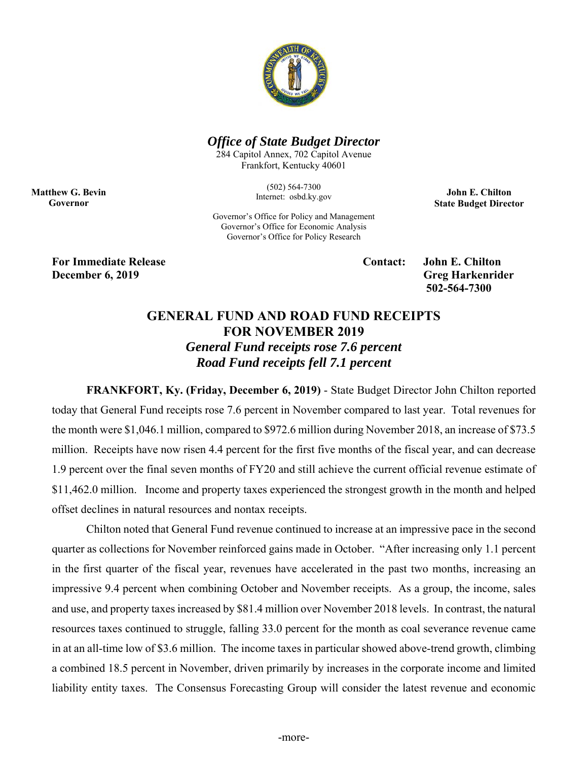

## *Office of State Budget Director*

284 Capitol Annex, 702 Capitol Avenue Frankfort, Kentucky 40601

> (502) 564-7300 Internet: osbd.ky.gov

**John E. Chilton State Budget Director** 

**Matthew G. Bevin Governor** 

Governor's Office for Policy and Management Governor's Office for Economic Analysis Governor's Office for Policy Research

For Immediate Release **Contact:** John E. Chilton **December 6, 2019** Greg Harkenrider

 **502-564-7300** 

## **GENERAL FUND AND ROAD FUND RECEIPTS FOR NOVEMBER 2019**  *General Fund receipts rose 7.6 percent Road Fund receipts fell 7.1 percent*

**FRANKFORT, Ky. (Friday, December 6, 2019)** - State Budget Director John Chilton reported today that General Fund receipts rose 7.6 percent in November compared to last year. Total revenues for the month were \$1,046.1 million, compared to \$972.6 million during November 2018, an increase of \$73.5 million. Receipts have now risen 4.4 percent for the first five months of the fiscal year, and can decrease 1.9 percent over the final seven months of FY20 and still achieve the current official revenue estimate of \$11,462.0 million. Income and property taxes experienced the strongest growth in the month and helped offset declines in natural resources and nontax receipts.

Chilton noted that General Fund revenue continued to increase at an impressive pace in the second quarter as collections for November reinforced gains made in October. "After increasing only 1.1 percent in the first quarter of the fiscal year, revenues have accelerated in the past two months, increasing an impressive 9.4 percent when combining October and November receipts. As a group, the income, sales and use, and property taxes increased by \$81.4 million over November 2018 levels. In contrast, the natural resources taxes continued to struggle, falling 33.0 percent for the month as coal severance revenue came in at an all-time low of \$3.6 million. The income taxes in particular showed above-trend growth, climbing a combined 18.5 percent in November, driven primarily by increases in the corporate income and limited liability entity taxes. The Consensus Forecasting Group will consider the latest revenue and economic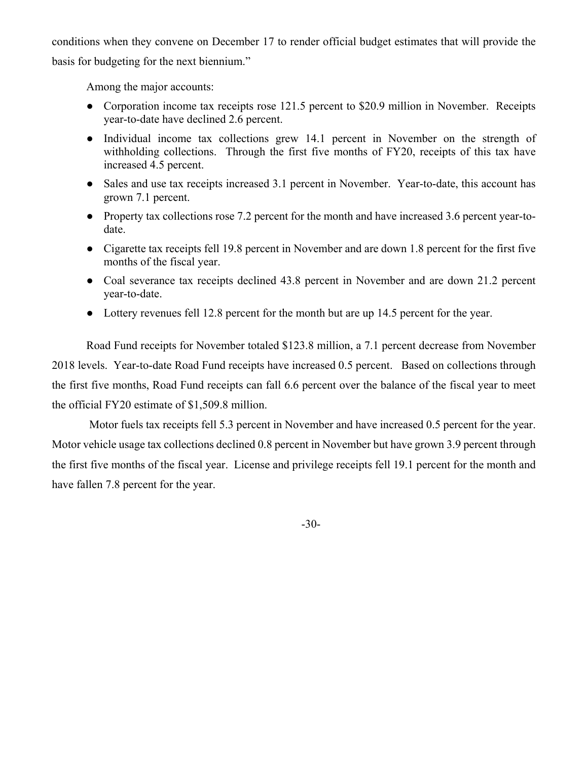conditions when they convene on December 17 to render official budget estimates that will provide the basis for budgeting for the next biennium."

Among the major accounts:

- Corporation income tax receipts rose 121.5 percent to \$20.9 million in November. Receipts year-to-date have declined 2.6 percent.
- Individual income tax collections grew 14.1 percent in November on the strength of withholding collections. Through the first five months of FY20, receipts of this tax have increased 4.5 percent.
- Sales and use tax receipts increased 3.1 percent in November. Year-to-date, this account has grown 7.1 percent.
- Property tax collections rose 7.2 percent for the month and have increased 3.6 percent year-todate.
- Cigarette tax receipts fell 19.8 percent in November and are down 1.8 percent for the first five months of the fiscal year.
- Coal severance tax receipts declined 43.8 percent in November and are down 21.2 percent year-to-date.
- Lottery revenues fell 12.8 percent for the month but are up 14.5 percent for the year.

Road Fund receipts for November totaled \$123.8 million, a 7.1 percent decrease from November 2018 levels. Year-to-date Road Fund receipts have increased 0.5 percent. Based on collections through the first five months, Road Fund receipts can fall 6.6 percent over the balance of the fiscal year to meet the official FY20 estimate of \$1,509.8 million.

 Motor fuels tax receipts fell 5.3 percent in November and have increased 0.5 percent for the year. Motor vehicle usage tax collections declined 0.8 percent in November but have grown 3.9 percent through the first five months of the fiscal year. License and privilege receipts fell 19.1 percent for the month and have fallen 7.8 percent for the year.

-30-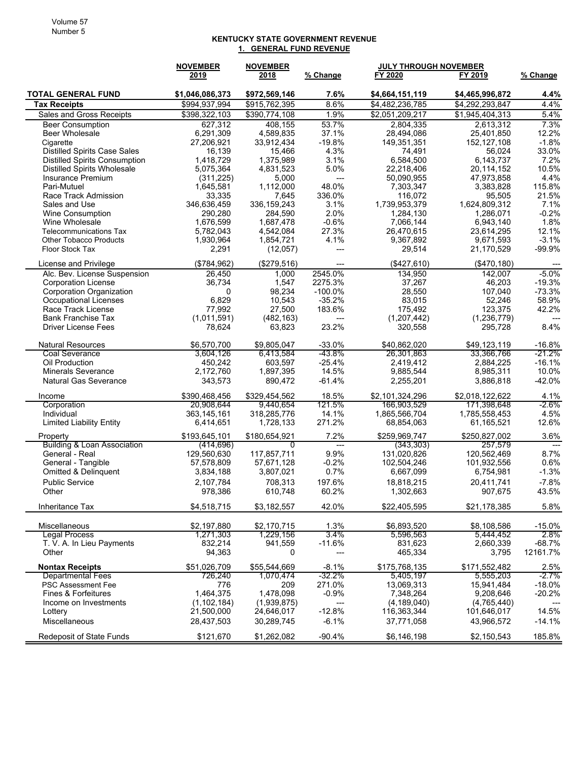## **KENTUCKY STATE GOVERNMENT REVENUE 1. GENERAL FUND REVENUE**

|                                                          | <b>NOVEMBER</b>             | <b>NOVEMBER</b>             |                        | <b>JULY THROUGH NOVEMBER</b> |                            |                        |
|----------------------------------------------------------|-----------------------------|-----------------------------|------------------------|------------------------------|----------------------------|------------------------|
|                                                          | 2019                        | 2018                        | <u>% Change</u>        | FY 2020                      | FY 2019                    | <u>% Change</u>        |
| <b>TOTAL GENERAL FUND</b>                                | \$1,046,086,373             | \$972,569,146               | 7.6%                   | \$4,664,151,119              | \$4,465,996,872            | 4.4%                   |
| <b>Tax Receipts</b>                                      | \$994,937,994               | \$915,762,395               | 8.6%                   | \$4,482,236,785              | \$4,292,293,847            | 4.4%                   |
| Sales and Gross Receipts                                 | \$398,322,103               | \$390,774,108               | 1.9%                   | \$2,051,209,217              | \$1,945,404,313            | 5.4%                   |
| <b>Beer Consumption</b>                                  | 627,312                     | 408,155                     | 53.7%                  | 2,804,335                    | 2,613,312                  | 7.3%                   |
| <b>Beer Wholesale</b>                                    | 6,291,309                   | 4,589,835                   | 37.1%                  | 28,494,086                   | 25,401,850                 | 12.2%                  |
| Cigarette                                                | 27,206,921                  | 33,912,434                  | $-19.8%$               | 149,351,351                  | 152,127,108                | $-1.8%$                |
| <b>Distilled Spirits Case Sales</b>                      | 16,139                      | 15,466                      | 4.3%                   | 74,491                       | 56,024                     | 33.0%                  |
| <b>Distilled Spirits Consumption</b>                     | 1,418,729                   | 1,375,989                   | 3.1%                   | 6,584,500                    | 6,143,737                  | 7.2%                   |
| <b>Distilled Spirits Wholesale</b><br>Insurance Premium  | 5,075,364<br>(311, 225)     | 4,831,523<br>5,000          | 5.0%<br>$\overline{a}$ | 22,218,406<br>50,090,955     | 20,114,152<br>47,973,858   | 10.5%<br>4.4%          |
| Pari-Mutuel                                              | 1,645,581                   | 1,112,000                   | 48.0%                  | 7,303,347                    | 3,383,828                  | 115.8%                 |
| Race Track Admission                                     | 33,335                      | 7,645                       | 336.0%                 | 116,072                      | 95,505                     | 21.5%                  |
| Sales and Use                                            | 346,636,459                 | 336, 159, 243               | 3.1%                   | 1,739,953,379                | 1,624,809,312              | 7.1%                   |
| Wine Consumption                                         | 290,280                     | 284,590                     | 2.0%                   | 1,284,130                    | 1,286,071                  | $-0.2%$                |
| Wine Wholesale                                           | 1,676,599                   | 1,687,478                   | $-0.6%$                | 7,066,144                    | 6,943,140                  | 1.8%                   |
| <b>Telecommunications Tax</b>                            | 5,782,043                   | 4,542,084                   | 27.3%                  | 26,470,615                   | 23,614,295                 | 12.1%                  |
| <b>Other Tobacco Products</b>                            | 1,930,964                   | 1,854,721                   | 4.1%                   | 9,367,892                    | 9,671,593                  | $-3.1%$                |
| Floor Stock Tax                                          | 2,291                       | (12,057)                    | $---$                  | 29,514                       | 21,170,529                 | $-99.9%$               |
| License and Privilege                                    | (\$784,962)                 | (\$279,516)                 |                        | (\$427,610)                  | (\$470, 180)               |                        |
| Alc. Bev. License Suspension                             | 26,450                      | 1,000                       | 2545.0%                | 134,950                      | 142,007                    | $-5.0%$                |
| <b>Corporation License</b>                               | 36.734                      | 1,547                       | 2275.3%                | 37.267                       | 46,203                     | $-19.3%$               |
| Corporation Organization                                 | 0                           | 98,234                      | $-100.0%$              | 28,550                       | 107,040                    | $-73.3%$               |
| Occupational Licenses                                    | 6,829                       | 10,543                      | $-35.2%$               | 83,015                       | 52,246                     | 58.9%                  |
| Race Track License                                       | 77,992                      | 27,500                      | 183.6%                 | 175,492                      | 123,375                    | 42.2%                  |
| <b>Bank Franchise Tax</b>                                | (1,011,591)                 | (482, 163)                  | $---$                  | (1,207,442)                  | (1,236,779)                |                        |
| <b>Driver License Fees</b>                               | 78,624                      | 63,823                      | 23.2%                  | 320,558                      | 295,728                    | 8.4%                   |
| <b>Natural Resources</b>                                 | \$6,570,700                 | \$9,805,047                 | $-33.0%$               | \$40,862,020                 | \$49,123,119               | $-16.8%$               |
| <b>Coal Severance</b>                                    | 3,604,126                   | 6,413,584                   | -43.8%                 | 26,301,863                   | 33,366,766                 | $-21.2\%$              |
| Oil Production                                           | 450,242                     | 603,597                     | $-25.4%$               | 2,419,412                    | 2,884,225                  | $-16.1%$               |
| <b>Minerals Severance</b>                                | 2,172,760                   | 1,897,395                   | 14.5%                  | 9,885,544                    | 8,985,311                  | 10.0%                  |
| <b>Natural Gas Severance</b>                             | 343,573                     | 890,472                     | $-61.4%$               | 2,255,201                    | 3,886,818                  | $-42.0%$               |
| Income                                                   | \$390,468,456               | \$329,454,562               | 18.5%                  | \$2,101,324,296              | \$2,018,122,622            | 4.1%                   |
| Corporation                                              | 20,908,644                  | 9,440,654                   | 121.5%                 | 166,903,529                  | 171,398,648                | $-2.6\%$               |
| Individual                                               | 363, 145, 161               | 318,285,776                 | 14.1%                  | 1,865,566,704                | 1,785,558,453              | 4.5%                   |
| <b>Limited Liability Entity</b>                          | 6,414,651                   | 1,728,133                   | 271.2%                 | 68,854,063                   | 61,165,521                 | 12.6%                  |
| Property                                                 | \$193,645,101               | \$180,654,921               | 7.2%                   | \$259,969,747                | \$250,827,002<br>257.579   | 3.6%                   |
| <b>Building &amp; Loan Association</b><br>General - Real | (414, 696)<br>129,560,630   | <sup>0</sup><br>117,857,711 | $---$<br>9.9%          | (343, 303)<br>131,020,826    | 120,562,469                | $\overline{a}$<br>8.7% |
| General - Tangible                                       | 57,578,809                  | 57,671,128                  | $-0.2%$                | 102,504,246                  | 101,932,556                | 0.6%                   |
| Omitted & Delinquent                                     | 3,834,188                   | 3,807,021                   | 0.7%                   | 6,667,099                    | 6,754,981                  | $-1.3%$                |
| <b>Public Service</b>                                    | 2,107,784                   | 708,313                     | 197.6%                 | 18,818,215                   | 20.411.741                 | $-7.8%$                |
| Other                                                    | 978,386                     | 610,748                     | 60.2%                  | 1,302,663                    | 907,675                    | 43.5%                  |
|                                                          |                             |                             |                        |                              |                            |                        |
| Inheritance Tax                                          | \$4,518,715                 | \$3,182,557                 | 42.0%                  | \$22,405,595                 | \$21,178,385               | 5.8%                   |
| Miscellaneous                                            | \$2,197,880                 | \$2,170,715                 | 1.3%                   | \$6,893,520                  | \$8,108,586                | $-15.0%$               |
| <b>Legal Process</b>                                     | 1,271,303                   | 1,229,156                   | 3.4%                   | 5,596,563                    | 5,444,452                  | 2.8%                   |
| T. V. A. In Lieu Payments                                | 832,214                     | 941,559                     | $-11.6%$               | 831,623                      | 2,660,339                  | $-68.7%$               |
| Other                                                    | 94,363                      | 0                           | ---                    | 465,334                      | 3,795                      | 12161.7%               |
| <b>Nontax Receipts</b>                                   | \$51,026,709                | \$55,544,669                | $-8.1%$                | \$175,768,135                | \$171,552,482              | 2.5%                   |
| <b>Departmental Fees</b>                                 | 726,240                     | 1,070,474                   | -32.2%                 | 5,405,197                    | 5,555,203                  | -2.7%                  |
| <b>PSC Assessment Fee</b>                                | 776                         | 209                         | 271.0%                 | 13,069,313                   | 15,941,484                 | $-18.0%$               |
| Fines & Forfeitures<br>Income on Investments             | 1,464,375                   | 1,478,098                   | $-0.9%$                | 7,348,264                    | 9.208.646                  | $-20.2%$               |
| Lottery                                                  | (1, 102, 184)<br>21,500,000 | (1,939,875)<br>24,646,017   | ---<br>$-12.8%$        | (4, 189, 040)<br>116,363,344 | (4,765,440)<br>101,646,017 | 14.5%                  |
| Miscellaneous                                            |                             |                             | $-6.1%$                |                              |                            |                        |
|                                                          | 28,437,503                  | 30,289,745                  |                        | 37,771,058                   | 43,966,572                 | $-14.1%$               |
| Redeposit of State Funds                                 | \$121,670                   | \$1,262,082                 | $-90.4%$               | \$6,146,198                  | \$2,150,543                | 185.8%                 |